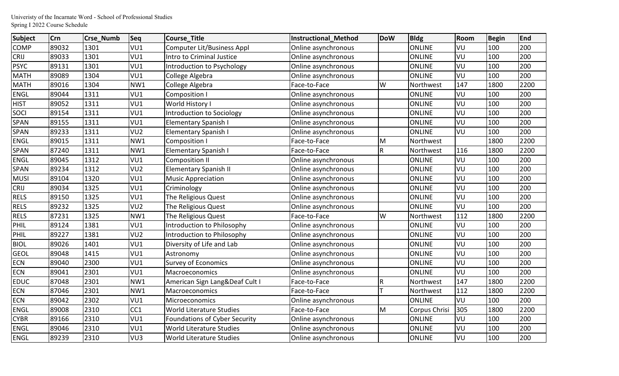| <b>Subject</b> | <b>Crn</b> | Crse_Numb | <b>Seq</b>      | <b>Course_Title</b>               | <b>Instructional Method</b> | <b>DoW</b> | <b>Bldg</b>          | Room | <b>Begin</b> | End  |
|----------------|------------|-----------|-----------------|-----------------------------------|-----------------------------|------------|----------------------|------|--------------|------|
| <b>COMP</b>    | 89032      | 1301      | VU1             | <b>Computer Lit/Business Appl</b> | Online asynchronous         |            | <b>ONLINE</b>        | VU   | 100          | 200  |
| <b>CRIJ</b>    | 89033      | 1301      | VU1             | <b>Intro to Criminal Justice</b>  | Online asynchronous         |            | <b>ONLINE</b>        | VU   | 100          | 200  |
| <b>PSYC</b>    | 89131      | 1301      | VU1             | Introduction to Psychology        | Online asynchronous         |            | <b>ONLINE</b>        | VU   | 100          | 200  |
| <b>MATH</b>    | 89089      | 1304      | VU1             | College Algebra                   | Online asynchronous         |            | <b>ONLINE</b>        | VU   | 100          | 200  |
| <b>MATH</b>    | 89016      | 1304      | NW1             | College Algebra                   | Face-to-Face                | W          | Northwest            | 147  | 1800         | 2200 |
| <b>ENGL</b>    | 89044      | 1311      | VU1             | Composition I                     | Online asynchronous         |            | <b>ONLINE</b>        | VU   | 100          | 200  |
| <b>HIST</b>    | 89052      | 1311      | VU1             | World History I                   | Online asynchronous         |            | <b>ONLINE</b>        | VU   | 100          | 200  |
| SOCI           | 89154      | 1311      | VU1             | Introduction to Sociology         | Online asynchronous         |            | <b>ONLINE</b>        | VU   | 100          | 200  |
| <b>SPAN</b>    | 89155      | 1311      | VU1             | <b>Elementary Spanish I</b>       | Online asynchronous         |            | <b>ONLINE</b>        | VU   | 100          | 200  |
| <b>SPAN</b>    | 89233      | 1311      | VU <sub>2</sub> | <b>Elementary Spanish I</b>       | Online asynchronous         |            | <b>ONLINE</b>        | VU   | 100          | 200  |
| <b>ENGL</b>    | 89015      | 1311      | NW1             | Composition I                     | Face-to-Face                | M          | Northwest            |      | 1800         | 2200 |
| <b>SPAN</b>    | 87240      | 1311      | NW1             | <b>Elementary Spanish I</b>       | Face-to-Face                | R          | Northwest            | 116  | 1800         | 2200 |
| <b>ENGL</b>    | 89045      | 1312      | VU1             | <b>Composition II</b>             | Online asynchronous         |            | <b>ONLINE</b>        | VU   | 100          | 200  |
| SPAN           | 89234      | 1312      | VU <sub>2</sub> | <b>Elementary Spanish II</b>      | Online asynchronous         |            | <b>ONLINE</b>        | VU   | 100          | 200  |
| <b>MUSI</b>    | 89104      | 1320      | VU1             | <b>Music Appreciation</b>         | Online asynchronous         |            | <b>ONLINE</b>        | VU   | 100          | 200  |
| <b>CRIJ</b>    | 89034      | 1325      | VU1             | Criminology                       | Online asynchronous         |            | <b>ONLINE</b>        | VU   | 100          | 200  |
| <b>RELS</b>    | 89150      | 1325      | VU1             | The Religious Quest               | Online asynchronous         |            | <b>ONLINE</b>        | VU   | 100          | 200  |
| <b>RELS</b>    | 89232      | 1325      | VU <sub>2</sub> | The Religious Quest               | Online asynchronous         |            | <b>ONLINE</b>        | VU   | 100          | 200  |
| <b>RELS</b>    | 87231      | 1325      | NW1             | The Religious Quest               | Face-to-Face                | W          | Northwest            | 112  | 1800         | 2200 |
| PHIL           | 89124      | 1381      | VU1             | Introduction to Philosophy        | Online asynchronous         |            | <b>ONLINE</b>        | VU   | 100          | 200  |
| PHIL           | 89227      | 1381      | VU <sub>2</sub> | Introduction to Philosophy        | Online asynchronous         |            | <b>ONLINE</b>        | VU   | 100          | 200  |
| <b>BIOL</b>    | 89026      | 1401      | VU1             | Diversity of Life and Lab         | Online asynchronous         |            | <b>ONLINE</b>        | VU   | 100          | 200  |
| <b>GEOL</b>    | 89048      | 1415      | VU1             | Astronomy                         | Online asynchronous         |            | <b>ONLINE</b>        | VU   | 100          | 200  |
| <b>ECN</b>     | 89040      | 2300      | VU1             | <b>Survey of Economics</b>        | Online asynchronous         |            | <b>ONLINE</b>        | VU   | 100          | 200  |
| <b>ECN</b>     | 89041      | 2301      | VU1             | Macroeconomics                    | Online asynchronous         |            | <b>ONLINE</b>        | VU   | 100          | 200  |
| <b>EDUC</b>    | 87048      | 2301      | NW1             | American Sign Lang&Deaf Cult I    | Face-to-Face                | R          | Northwest            | 147  | 1800         | 2200 |
| <b>ECN</b>     | 87046      | 2301      | NW1             | Macroeconomics                    | Face-to-Face                |            | Northwest            | 112  | 1800         | 2200 |
| <b>ECN</b>     | 89042      | 2302      | VU1             | Microeconomics                    | Online asynchronous         |            | <b>ONLINE</b>        | VU   | 100          | 200  |
| <b>ENGL</b>    | 89008      | 2310      | CC <sub>1</sub> | <b>World Literature Studies</b>   | Face-to-Face                | M          | <b>Corpus Chrisi</b> | 305  | 1800         | 2200 |
| <b>CYBR</b>    | 89166      | 2310      | VU1             | Foundations of Cyber Security     | Online asynchronous         |            | <b>ONLINE</b>        | VU   | 100          | 200  |
| <b>ENGL</b>    | 89046      | 2310      | VU1             | World Literature Studies          | Online asynchronous         |            | <b>ONLINE</b>        | VU   | 100          | 200  |
| <b>ENGL</b>    | 89239      | 2310      | VU <sub>3</sub> | World Literature Studies          | Online asynchronous         |            | <b>ONLINE</b>        | VU   | 100          | 200  |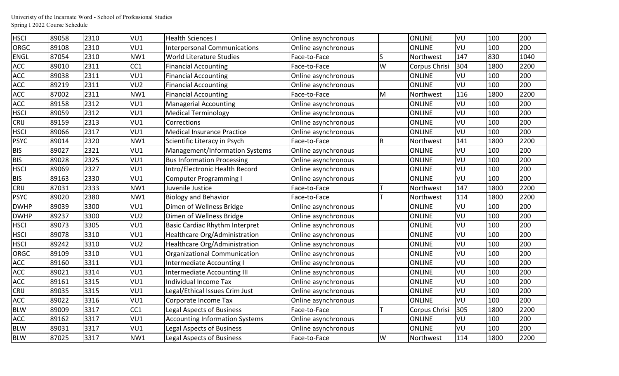| <b>HSCI</b> | 89058 | 2310 | VU1             | <b>Health Sciences I</b>              | Online asynchronous |           | <b>ONLINE</b> | VU  | 100  | 200  |
|-------------|-------|------|-----------------|---------------------------------------|---------------------|-----------|---------------|-----|------|------|
| <b>ORGC</b> | 89108 | 2310 | VU1             | <b>Interpersonal Communications</b>   | Online asynchronous |           | <b>ONLINE</b> | VU  | 100  | 200  |
| <b>ENGL</b> | 87054 | 2310 | NW1             | World Literature Studies              | Face-to-Face        | S         | Northwest     | 147 | 830  | 1040 |
| ACC         | 89010 | 2311 | CC1             | <b>Financial Accounting</b>           | Face-to-Face        | W         | Corpus Chrisi | 304 | 1800 | 2200 |
| <b>ACC</b>  | 89038 | 2311 | VU1             | <b>Financial Accounting</b>           | Online asynchronous |           | <b>ONLINE</b> | VU  | 100  | 200  |
| <b>ACC</b>  | 89219 | 2311 | VU <sub>2</sub> | <b>Financial Accounting</b>           | Online asynchronous |           | <b>ONLINE</b> | VU  | 100  | 200  |
| ACC         | 87002 | 2311 | NW1             | <b>Financial Accounting</b>           | Face-to-Face        | M         | Northwest     | 116 | 1800 | 2200 |
| ACC         | 89158 | 2312 | VU1             | <b>Managerial Accounting</b>          | Online asynchronous |           | <b>ONLINE</b> | VU  | 100  | 200  |
| <b>HSCI</b> | 89059 | 2312 | VU1             | <b>Medical Terminology</b>            | Online asynchronous |           | <b>ONLINE</b> | VU  | 100  | 200  |
| <b>CRIJ</b> | 89159 | 2313 | VU1             | Corrections                           | Online asynchronous |           | <b>ONLINE</b> | VU  | 100  | 200  |
| <b>HSCI</b> | 89066 | 2317 | VU1             | <b>Medical Insurance Practice</b>     | Online asynchronous |           | <b>ONLINE</b> | VU  | 100  | 200  |
| <b>PSYC</b> | 89014 | 2320 | NW1             | Scientific Literacy in Psych          | Face-to-Face        | ${\sf R}$ | Northwest     | 141 | 1800 | 2200 |
| <b>BIS</b>  | 89027 | 2321 | VU1             | Management/Information Systems        | Online asynchronous |           | <b>ONLINE</b> | VU  | 100  | 200  |
| <b>BIS</b>  | 89028 | 2325 | VU1             | <b>Bus Information Processing</b>     | Online asynchronous |           | <b>ONLINE</b> | VU  | 100  | 200  |
| <b>HSCI</b> | 89069 | 2327 | VU1             | Intro/Electronic Health Record        | Online asynchronous |           | <b>ONLINE</b> | VU  | 100  | 200  |
| <b>BIS</b>  | 89163 | 2330 | VU1             | <b>Computer Programming I</b>         | Online asynchronous |           | <b>ONLINE</b> | VU  | 100  | 200  |
| <b>CRIJ</b> | 87031 | 2333 | NW1             | Juvenile Justice                      | Face-to-Face        |           | Northwest     | 147 | 1800 | 2200 |
| <b>PSYC</b> | 89020 | 2380 | NW1             | <b>Biology and Behavior</b>           | Face-to-Face        |           | Northwest     | 114 | 1800 | 2200 |
| <b>DWHP</b> | 89039 | 3300 | VU1             | Dimen of Wellness Bridge              | Online asynchronous |           | <b>ONLINE</b> | VU  | 100  | 200  |
| <b>DWHP</b> | 89237 | 3300 | VU <sub>2</sub> | Dimen of Wellness Bridge              | Online asynchronous |           | <b>ONLINE</b> | VU  | 100  | 200  |
| <b>HSCI</b> | 89073 | 3305 | VU1             | <b>Basic Cardiac Rhythm Interpret</b> | Online asynchronous |           | <b>ONLINE</b> | VU  | 100  | 200  |
| <b>HSCI</b> | 89078 | 3310 | VU1             | Healthcare Org/Administration         | Online asynchronous |           | <b>ONLINE</b> | VU  | 100  | 200  |
| <b>HSCI</b> | 89242 | 3310 | VU <sub>2</sub> | Healthcare Org/Administration         | Online asynchronous |           | <b>ONLINE</b> | VU  | 100  | 200  |
| <b>ORGC</b> | 89109 | 3310 | VU1             | <b>Organizational Communication</b>   | Online asynchronous |           | <b>ONLINE</b> | VU  | 100  | 200  |
| ACC         | 89160 | 3311 | VU1             | Intermediate Accounting I             | Online asynchronous |           | <b>ONLINE</b> | VU  | 100  | 200  |
| <b>ACC</b>  | 89021 | 3314 | VU1             | Intermediate Accounting III           | Online asynchronous |           | <b>ONLINE</b> | VU  | 100  | 200  |
| <b>ACC</b>  | 89161 | 3315 | VU1             | <b>Individual Income Tax</b>          | Online asynchronous |           | <b>ONLINE</b> | VU  | 100  | 200  |
| <b>CRIJ</b> | 89035 | 3315 | VU1             | Legal/Ethical Issues Crim Just        | Online asynchronous |           | <b>ONLINE</b> | VU  | 100  | 200  |
| <b>ACC</b>  | 89022 | 3316 | VU1             | Corporate Income Tax                  | Online asynchronous |           | <b>ONLINE</b> | VU  | 100  | 200  |
| <b>BLW</b>  | 89009 | 3317 | CC1             | <b>Legal Aspects of Business</b>      | Face-to-Face        |           | Corpus Chrisi | 305 | 1800 | 2200 |
| <b>ACC</b>  | 89162 | 3317 | VU1             | <b>Accounting Information Systems</b> | Online asynchronous |           | <b>ONLINE</b> | VU  | 100  | 200  |
| <b>BLW</b>  | 89031 | 3317 | VU1             | <b>Legal Aspects of Business</b>      | Online asynchronous |           | <b>ONLINE</b> | VU  | 100  | 200  |
| <b>BLW</b>  | 87025 | 3317 | NW1             | <b>Legal Aspects of Business</b>      | Face-to-Face        | W         | Northwest     | 114 | 1800 | 2200 |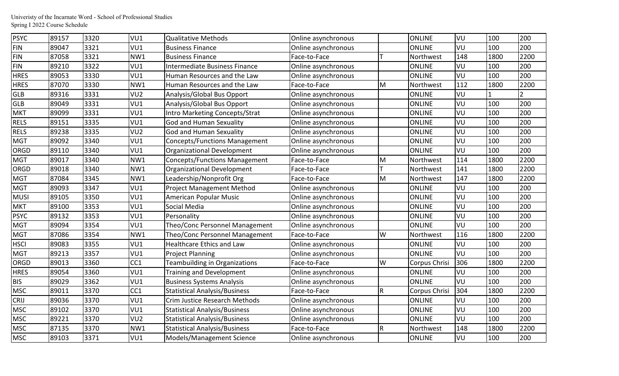| <b>PSYC</b> | 89157 | 3320 | VU1             | <b>Qualitative Methods</b>           | Online asynchronous |                | <b>ONLINE</b> | VU  | 100  | 200           |
|-------------|-------|------|-----------------|--------------------------------------|---------------------|----------------|---------------|-----|------|---------------|
| <b>FIN</b>  | 89047 | 3321 | VU1             | <b>Business Finance</b>              | Online asynchronous |                | <b>ONLINE</b> | VU  | 100  | 200           |
| <b>FIN</b>  | 87058 | 3321 | NW1             | <b>Business Finance</b>              | Face-to-Face        |                | Northwest     | 148 | 1800 | 2200          |
| <b>FIN</b>  | 89210 | 3322 | VU1             | Intermediate Business Finance        | Online asynchronous |                | <b>ONLINE</b> | VU  | 100  | 200           |
| <b>HRES</b> | 89053 | 3330 | VU1             | Human Resources and the Law          | Online asynchronous |                | <b>ONLINE</b> | VU  | 100  | 200           |
| <b>HRES</b> | 87070 | 3330 | NW1             | Human Resources and the Law          | Face-to-Face        | M              | Northwest     | 112 | 1800 | 2200          |
| <b>GLB</b>  | 89316 | 3331 | VU <sub>2</sub> | Analysis/Global Bus Opport           | Online asynchronous |                | <b>ONLINE</b> | VU  |      | $\mathcal{P}$ |
| <b>GLB</b>  | 89049 | 3331 | VU1             | Analysis/Global Bus Opport           | Online asynchronous |                | <b>ONLINE</b> | VU  | 100  | 200           |
| <b>MKT</b>  | 89099 | 3331 | VU1             | Intro Marketing Concepts/Strat       | Online asynchronous |                | <b>ONLINE</b> | VU  | 100  | 200           |
| <b>RELS</b> | 89151 | 3335 | VU1             | God and Human Sexuality              | Online asynchronous |                | <b>ONLINE</b> | VU  | 100  | 200           |
| <b>RELS</b> | 89238 | 3335 | VU <sub>2</sub> | God and Human Sexuality              | Online asynchronous |                | <b>ONLINE</b> | VU  | 100  | 200           |
| <b>MGT</b>  | 89092 | 3340 | VU1             | <b>Concepts/Functions Management</b> | Online asynchronous |                | <b>ONLINE</b> | VU  | 100  | 200           |
| <b>ORGD</b> | 89110 | 3340 | VU1             | Organizational Development           | Online asynchronous |                | <b>ONLINE</b> | VU  | 100  | 200           |
| <b>MGT</b>  | 89017 | 3340 | NW1             | <b>Concepts/Functions Management</b> | Face-to-Face        | M              | Northwest     | 114 | 1800 | 2200          |
| ORGD        | 89018 | 3340 | NW1             | Organizational Development           | Face-to-Face        |                | Northwest     | 141 | 1800 | 2200          |
| <b>MGT</b>  | 87084 | 3345 | NW1             | Leadership/Nonprofit Org             | Face-to-Face        | M              | Northwest     | 147 | 1800 | 2200          |
| <b>MGT</b>  | 89093 | 3347 | VU1             | Project Management Method            | Online asynchronous |                | <b>ONLINE</b> | VU  | 100  | 200           |
| <b>MUSI</b> | 89105 | 3350 | VU1             | American Popular Music               | Online asynchronous |                | <b>ONLINE</b> | VU  | 100  | 200           |
| <b>MKT</b>  | 89100 | 3353 | VU1             | Social Media                         | Online asynchronous |                | <b>ONLINE</b> | VU  | 100  | 200           |
| <b>PSYC</b> | 89132 | 3353 | VU1             | Personality                          | Online asynchronous |                | <b>ONLINE</b> | VU  | 100  | 200           |
| <b>MGT</b>  | 89094 | 3354 | VU1             | Theo/Conc Personnel Management       | Online asynchronous |                | <b>ONLINE</b> | VU  | 100  | 200           |
| <b>MGT</b>  | 87086 | 3354 | NW1             | Theo/Conc Personnel Management       | Face-to-Face        | W              | Northwest     | 116 | 1800 | 2200          |
| <b>HSCI</b> | 89083 | 3355 | VU1             | <b>Healthcare Ethics and Law</b>     | Online asynchronous |                | <b>ONLINE</b> | VU  | 100  | 200           |
| <b>MGT</b>  | 89213 | 3357 | VU1             | <b>Project Planning</b>              | Online asynchronous |                | <b>ONLINE</b> | VU  | 100  | 200           |
| ORGD        | 89013 | 3360 | CC <sub>1</sub> | Teambuilding in Organizations        | Face-to-Face        | W              | Corpus Chrisi | 306 | 1800 | 2200          |
| <b>HRES</b> | 89054 | 3360 | VU1             | <b>Training and Development</b>      | Online asynchronous |                | <b>ONLINE</b> | VU  | 100  | 200           |
| <b>BIS</b>  | 89029 | 3362 | VU1             | <b>Business Systems Analysis</b>     | Online asynchronous |                | <b>ONLINE</b> | VU  | 100  | 200           |
| <b>MSC</b>  | 89011 | 3370 | CC1             | <b>Statistical Analysis/Business</b> | Face-to-Face        | R.             | Corpus Chrisi | 304 | 1800 | 2200          |
| <b>CRIJ</b> | 89036 | 3370 | VU1             | Crim Justice Research Methods        | Online asynchronous |                | <b>ONLINE</b> | VU  | 100  | 200           |
| <b>MSC</b>  | 89102 | 3370 | VU1             | <b>Statistical Analysis/Business</b> | Online asynchronous |                | <b>ONLINE</b> | VU  | 100  | 200           |
| <b>MSC</b>  | 89221 | 3370 | VU <sub>2</sub> | <b>Statistical Analysis/Business</b> | Online asynchronous |                | <b>ONLINE</b> | VU  | 100  | 200           |
| <b>MSC</b>  | 87135 | 3370 | NW1             | <b>Statistical Analysis/Business</b> | Face-to-Face        | $\overline{R}$ | Northwest     | 148 | 1800 | 2200          |
| <b>MSC</b>  | 89103 | 3371 | VU1             | Models/Management Science            | Online asynchronous |                | <b>ONLINE</b> | VU  | 100  | 200           |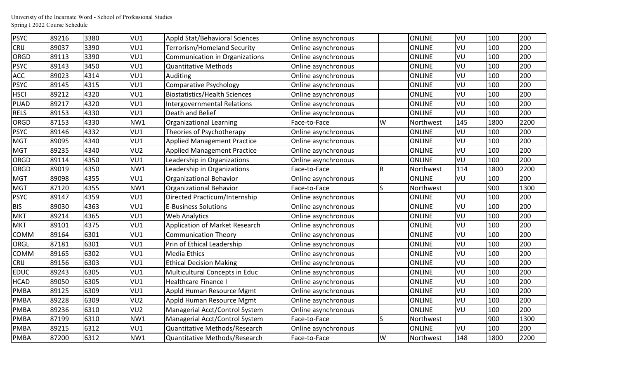| <b>PSYC</b> | 89216 | 3380 | VU1             | Appld Stat/Behavioral Sciences        | Online asynchronous |     | <b>ONLINE</b> | VU  | 100  | 200  |
|-------------|-------|------|-----------------|---------------------------------------|---------------------|-----|---------------|-----|------|------|
| <b>CRIJ</b> | 89037 | 3390 | VU1             | Terrorism/Homeland Security           | Online asynchronous |     | <b>ONLINE</b> | VU  | 100  | 200  |
| ORGD        | 89113 | 3390 | VU1             | <b>Communication in Organizations</b> | Online asynchronous |     | <b>ONLINE</b> | VU  | 100  | 200  |
| <b>PSYC</b> | 89143 | 3450 | VU1             | <b>Quantitative Methods</b>           | Online asynchronous |     | <b>ONLINE</b> | VU  | 100  | 200  |
| ACC         | 89023 | 4314 | VU1             | Auditing                              | Online asynchronous |     | <b>ONLINE</b> | VU  | 100  | 200  |
| <b>PSYC</b> | 89145 | 4315 | VU1             | Comparative Psychology                | Online asynchronous |     | <b>ONLINE</b> | VU  | 100  | 200  |
| <b>HSCI</b> | 89212 | 4320 | VU1             | <b>Biostatistics/Health Sciences</b>  | Online asynchronous |     | <b>ONLINE</b> | VU  | 100  | 200  |
| <b>PUAD</b> | 89217 | 4320 | VU1             | Intergovernmental Relations           | Online asynchronous |     | <b>ONLINE</b> | VU  | 100  | 200  |
| <b>RELS</b> | 89153 | 4330 | VU1             | Death and Belief                      | Online asynchronous |     | <b>ONLINE</b> | VU  | 100  | 200  |
| ORGD        | 87153 | 4330 | NW1             | Organizational Learning               | Face-to-Face        | W   | Northwest     | 145 | 1800 | 2200 |
| <b>PSYC</b> | 89146 | 4332 | VU1             | Theories of Psychotherapy             | Online asynchronous |     | <b>ONLINE</b> | VU  | 100  | 200  |
| <b>MGT</b>  | 89095 | 4340 | VU1             | <b>Applied Management Practice</b>    | Online asynchronous |     | <b>ONLINE</b> | VU  | 100  | 200  |
| <b>MGT</b>  | 89235 | 4340 | VU <sub>2</sub> | <b>Applied Management Practice</b>    | Online asynchronous |     | <b>ONLINE</b> | VU  | 100  | 200  |
| ORGD        | 89114 | 4350 | VU1             | Leadership in Organizations           | Online asynchronous |     | <b>ONLINE</b> | VU  | 100  | 200  |
| ORGD        | 89019 | 4350 | NW1             | Leadership in Organizations           | Face-to-Face        | lR. | Northwest     | 114 | 1800 | 2200 |
| <b>MGT</b>  | 89098 | 4355 | VU1             | Organizational Behavior               | Online asynchronous |     | <b>ONLINE</b> | VU  | 100  | 200  |
| <b>MGT</b>  | 87120 | 4355 | NW1             | Organizational Behavior               | Face-to-Face        | lS  | Northwest     |     | 900  | 1300 |
| <b>PSYC</b> | 89147 | 4359 | VU1             | Directed Practicum/Internship         | Online asynchronous |     | <b>ONLINE</b> | VU  | 100  | 200  |
| <b>BIS</b>  | 89030 | 4363 | VU1             | <b>E-Business Solutions</b>           | Online asynchronous |     | <b>ONLINE</b> | VU  | 100  | 200  |
| <b>MKT</b>  | 89214 | 4365 | VU1             | <b>Web Analytics</b>                  | Online asynchronous |     | <b>ONLINE</b> | VU  | 100  | 200  |
| <b>MKT</b>  | 89101 | 4375 | VU1             | Application of Market Research        | Online asynchronous |     | <b>ONLINE</b> | VU  | 100  | 200  |
| <b>COMM</b> | 89164 | 6301 | VU1             | <b>Communication Theory</b>           | Online asynchronous |     | <b>ONLINE</b> | VU  | 100  | 200  |
| ORGL        | 87181 | 6301 | VU1             | Prin of Ethical Leadership            | Online asynchronous |     | <b>ONLINE</b> | VU  | 100  | 200  |
| COMM        | 89165 | 6302 | VU1             | <b>Media Ethics</b>                   | Online asynchronous |     | <b>ONLINE</b> | VU  | 100  | 200  |
| <b>CRIJ</b> | 89156 | 6303 | VU1             | <b>Ethical Decision Making</b>        | Online asynchronous |     | <b>ONLINE</b> | VU  | 100  | 200  |
| <b>EDUC</b> | 89243 | 6305 | VU1             | Multicultural Concepts in Educ        | Online asynchronous |     | <b>ONLINE</b> | VU  | 100  | 200  |
| <b>HCAD</b> | 89050 | 6305 | VU1             | <b>Healthcare Finance I</b>           | Online asynchronous |     | <b>ONLINE</b> | VU  | 100  | 200  |
| <b>PMBA</b> | 89125 | 6309 | VU1             | Appld Human Resource Mgmt             | Online asynchronous |     | <b>ONLINE</b> | VU  | 100  | 200  |
| <b>PMBA</b> | 89228 | 6309 | VU <sub>2</sub> | Appld Human Resource Mgmt             | Online asynchronous |     | <b>ONLINE</b> | VU  | 100  | 200  |
| <b>PMBA</b> | 89236 | 6310 | VU <sub>2</sub> | Managerial Acct/Control System        | Online asynchronous |     | <b>ONLINE</b> | VU  | 100  | 200  |
| <b>PMBA</b> | 87199 | 6310 | NW1             | Managerial Acct/Control System        | Face-to-Face        | S   | Northwest     |     | 900  | 1300 |
| <b>PMBA</b> | 89215 | 6312 | VU1             | Quantitative Methods/Research         | Online asynchronous |     | <b>ONLINE</b> | VU  | 100  | 200  |
| <b>PMBA</b> | 87200 | 6312 | NW1             | Quantitative Methods/Research         | Face-to-Face        | W   | Northwest     | 148 | 1800 | 2200 |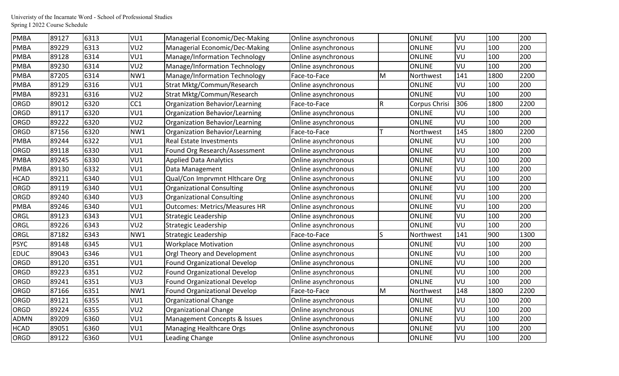| <b>PMBA</b> | 89127 | 6313 | VU1             | Managerial Economic/Dec-Making       | Online asynchronous |    | <b>ONLINE</b> | VU  | 100  | 200  |
|-------------|-------|------|-----------------|--------------------------------------|---------------------|----|---------------|-----|------|------|
| <b>PMBA</b> | 89229 | 6313 | VU <sub>2</sub> | Managerial Economic/Dec-Making       | Online asynchronous |    | <b>ONLINE</b> | VU  | 100  | 200  |
| <b>PMBA</b> | 89128 | 6314 | VU1             | Manage/Information Technology        | Online asynchronous |    | <b>ONLINE</b> | VU  | 100  | 200  |
| <b>PMBA</b> | 89230 | 6314 | VU <sub>2</sub> | Manage/Information Technology        | Online asynchronous |    | <b>ONLINE</b> | VU  | 100  | 200  |
| <b>PMBA</b> | 87205 | 6314 | NW1             | Manage/Information Technology        | Face-to-Face        | M  | Northwest     | 141 | 1800 | 2200 |
| <b>PMBA</b> | 89129 | 6316 | VU1             | Strat Mktg/Commun/Research           | Online asynchronous |    | <b>ONLINE</b> | VU  | 100  | 200  |
| <b>PMBA</b> | 89231 | 6316 | VU <sub>2</sub> | Strat Mktg/Commun/Research           | Online asynchronous |    | <b>ONLINE</b> | VU  | 100  | 200  |
| ORGD        | 89012 | 6320 | CC1             | Organization Behavior/Learning       | Face-to-Face        | R. | Corpus Chrisi | 306 | 1800 | 2200 |
| ORGD        | 89117 | 6320 | VU1             | Organization Behavior/Learning       | Online asynchronous |    | <b>ONLINE</b> | VU  | 100  | 200  |
| ORGD        | 89222 | 6320 | VU <sub>2</sub> | Organization Behavior/Learning       | Online asynchronous |    | <b>ONLINE</b> | VU  | 100  | 200  |
| ORGD        | 87156 | 6320 | NW1             | Organization Behavior/Learning       | Face-to-Face        |    | Northwest     | 145 | 1800 | 2200 |
| <b>PMBA</b> | 89244 | 6322 | VU1             | Real Estate Investments              | Online asynchronous |    | <b>ONLINE</b> | VU  | 100  | 200  |
| ORGD        | 89118 | 6330 | VU1             | Found Org Research/Assessment        | Online asynchronous |    | <b>ONLINE</b> | VU  | 100  | 200  |
| <b>PMBA</b> | 89245 | 6330 | VU1             | <b>Applied Data Analytics</b>        | Online asynchronous |    | <b>ONLINE</b> | VU  | 100  | 200  |
| <b>PMBA</b> | 89130 | 6332 | VU1             | Data Management                      | Online asynchronous |    | <b>ONLINE</b> | VU  | 100  | 200  |
| <b>HCAD</b> | 89211 | 6340 | VU1             | Qual/Con Imprvmnt Hithcare Org       | Online asynchronous |    | <b>ONLINE</b> | VU  | 100  | 200  |
| ORGD        | 89119 | 6340 | VU1             | Organizational Consulting            | Online asynchronous |    | <b>ONLINE</b> | VU  | 100  | 200  |
| ORGD        | 89240 | 6340 | VU3             | <b>Organizational Consulting</b>     | Online asynchronous |    | <b>ONLINE</b> | VU  | 100  | 200  |
| <b>PMBA</b> | 89246 | 6340 | VU1             | <b>Outcomes: Metrics/Measures HR</b> | Online asynchronous |    | <b>ONLINE</b> | VU  | 100  | 200  |
| <b>ORGL</b> | 89123 | 6343 | VU1             | Strategic Leadership                 | Online asynchronous |    | <b>ONLINE</b> | VU  | 100  | 200  |
| ORGL        | 89226 | 6343 | VU <sub>2</sub> | Strategic Leadership                 | Online asynchronous |    | <b>ONLINE</b> | VU  | 100  | 200  |
| ORGL        | 87182 | 6343 | NW1             | Strategic Leadership                 | Face-to-Face        | S  | Northwest     | 141 | 900  | 1300 |
| <b>PSYC</b> | 89148 | 6345 | VU1             | <b>Workplace Motivation</b>          | Online asynchronous |    | <b>ONLINE</b> | VU  | 100  | 200  |
| <b>EDUC</b> | 89043 | 6346 | VU1             | Orgl Theory and Development          | Online asynchronous |    | <b>ONLINE</b> | VU  | 100  | 200  |
| ORGD        | 89120 | 6351 | VU1             | <b>Found Organizational Develop</b>  | Online asynchronous |    | <b>ONLINE</b> | VU  | 100  | 200  |
| ORGD        | 89223 | 6351 | VU <sub>2</sub> | <b>Found Organizational Develop</b>  | Online asynchronous |    | <b>ONLINE</b> | VU  | 100  | 200  |
| ORGD        | 89241 | 6351 | VU <sub>3</sub> | <b>Found Organizational Develop</b>  | Online asynchronous |    | <b>ONLINE</b> | VU  | 100  | 200  |
| ORGD        | 87166 | 6351 | NW1             | <b>Found Organizational Develop</b>  | Face-to-Face        | M  | Northwest     | 148 | 1800 | 2200 |
| ORGD        | 89121 | 6355 | VU1             | Organizational Change                | Online asynchronous |    | <b>ONLINE</b> | VU  | 100  | 200  |
| ORGD        | 89224 | 6355 | VU <sub>2</sub> | Organizational Change                | Online asynchronous |    | <b>ONLINE</b> | VU  | 100  | 200  |
| <b>ADMN</b> | 89209 | 6360 | VU1             | Management Concepts & Issues         | Online asynchronous |    | <b>ONLINE</b> | VU  | 100  | 200  |
| <b>HCAD</b> | 89051 | 6360 | VU1             | Managing Healthcare Orgs             | Online asynchronous |    | <b>ONLINE</b> | VU  | 100  | 200  |
| ORGD        | 89122 | 6360 | VU1             | Leading Change                       | Online asynchronous |    | <b>ONLINE</b> | VU  | 100  | 200  |